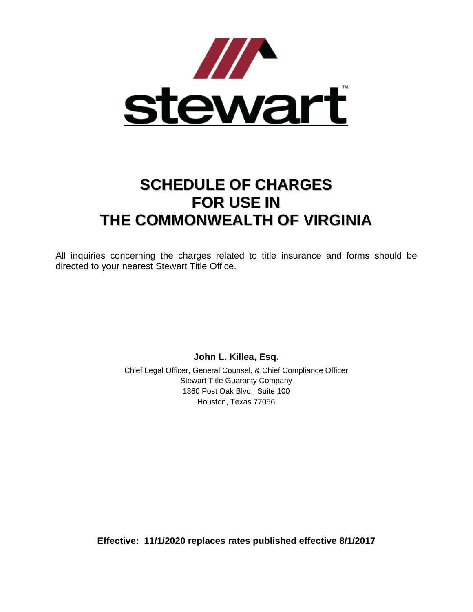

# **SCHEDULE OF CHARGES FOR USE IN THE COMMONWEALTH OF VIRGINIA**

All inquiries concerning the charges related to title insurance and forms should be directed to your nearest Stewart Title Office.

**John L. Killea, Esq.**

Chief Legal Officer, General Counsel, & Chief Compliance Officer Stewart Title Guaranty Company 1360 Post Oak Blvd., Suite 100 Houston, Texas 77056

**Effective: 11/1/2020 replaces rates published effective 8/1/2017**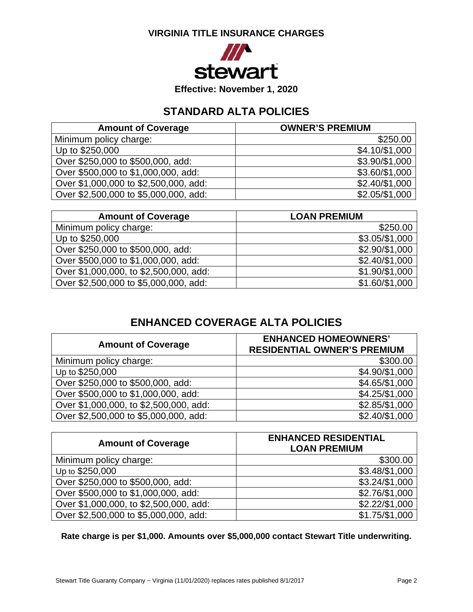## **VIRGINIA TITLE INSURANCE CHARGES**



**Effective: November 1, 2020**

# **STANDARD ALTA POLICIES**

| <b>Amount of Coverage</b>             | <b>OWNER'S PREMIUM</b> |
|---------------------------------------|------------------------|
| Minimum policy charge:                | \$250.00               |
| Up to \$250,000                       | \$4.10/\$1,000         |
| Over \$250,000 to \$500,000, add:     | \$3.90/\$1,000         |
| Over \$500,000 to \$1,000,000, add:   | \$3.60/\$1,000         |
| Over \$1,000,000 to \$2,500,000, add: | \$2.40/\$1,000         |
| Over \$2,500,000 to \$5,000,000, add: | \$2.05/\$1,000         |

| <b>Amount of Coverage</b>              | <b>LOAN PREMIUM</b> |
|----------------------------------------|---------------------|
| Minimum policy charge:                 | \$250.00            |
| Up to \$250,000                        | \$3.05/\$1,000      |
| Over \$250,000 to \$500,000, add:      | \$2.90/\$1,000      |
| Over \$500,000 to \$1,000,000, add:    | \$2.40/\$1,000      |
| Over \$1,000,000, to \$2,500,000, add: | \$1.90/\$1,000      |
| Over \$2,500,000 to \$5,000,000, add:  | \$1.60/\$1,000      |

# **ENHANCED COVERAGE ALTA POLICIES**

| <b>Amount of Coverage</b>              | <b>ENHANCED HOMEOWNERS'</b><br><b>RESIDENTIAL OWNER'S PREMIUM</b> |
|----------------------------------------|-------------------------------------------------------------------|
| Minimum policy charge:                 | \$300.00                                                          |
| Up to \$250,000                        | \$4.90/\$1,000                                                    |
| Over \$250,000 to \$500,000, add:      | \$4.65/\$1,000                                                    |
| Over \$500,000 to \$1,000,000, add:    | \$4.25/\$1,000                                                    |
| Over \$1,000,000, to \$2,500,000, add: | \$2.85/\$1,000                                                    |
| Over \$2,500,000 to \$5,000,000, add:  | \$2.40/\$1,000                                                    |

| <b>Amount of Coverage</b>              | <b>ENHANCED RESIDENTIAL</b><br><b>LOAN PREMIUM</b> |
|----------------------------------------|----------------------------------------------------|
| Minimum policy charge:                 | \$300.00                                           |
| Up to \$250,000                        | \$3.48/\$1,000                                     |
| Over \$250,000 to \$500,000, add:      | \$3.24/\$1,000                                     |
| Over \$500,000 to \$1,000,000, add:    | \$2.76/\$1,000                                     |
| Over \$1,000,000, to \$2,500,000, add: | \$2.22/\$1,000                                     |
| Over \$2,500,000 to \$5,000,000, add:  | \$1.75/\$1,000                                     |

**Rate charge is per \$1,000. Amounts over \$5,000,000 contact Stewart Title underwriting.**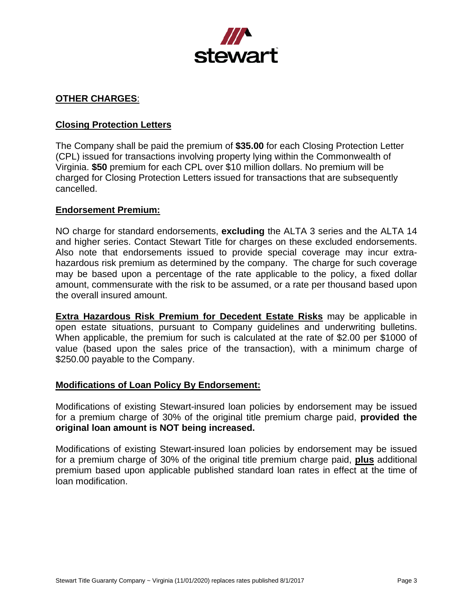

# **OTHER CHARGES**:

## **Closing Protection Letters**

The Company shall be paid the premium of **\$35.00** for each Closing Protection Letter (CPL) issued for transactions involving property lying within the Commonwealth of Virginia. **\$50** premium for each CPL over \$10 million dollars. No premium will be charged for Closing Protection Letters issued for transactions that are subsequently cancelled.

#### **Endorsement Premium:**

NO charge for standard endorsements, **excluding** the ALTA 3 series and the ALTA 14 and higher series. Contact Stewart Title for charges on these excluded endorsements. Also note that endorsements issued to provide special coverage may incur extrahazardous risk premium as determined by the company. The charge for such coverage may be based upon a percentage of the rate applicable to the policy, a fixed dollar amount, commensurate with the risk to be assumed, or a rate per thousand based upon the overall insured amount.

**Extra Hazardous Risk Premium for Decedent Estate Risks** may be applicable in open estate situations, pursuant to Company guidelines and underwriting bulletins. When applicable, the premium for such is calculated at the rate of \$2.00 per \$1000 of value (based upon the sales price of the transaction), with a minimum charge of \$250.00 payable to the Company.

#### **Modifications of Loan Policy By Endorsement:**

Modifications of existing Stewart-insured loan policies by endorsement may be issued for a premium charge of 30% of the original title premium charge paid, **provided the original loan amount is NOT being increased.**

Modifications of existing Stewart-insured loan policies by endorsement may be issued for a premium charge of 30% of the original title premium charge paid, **plus** additional premium based upon applicable published standard loan rates in effect at the time of loan modification.